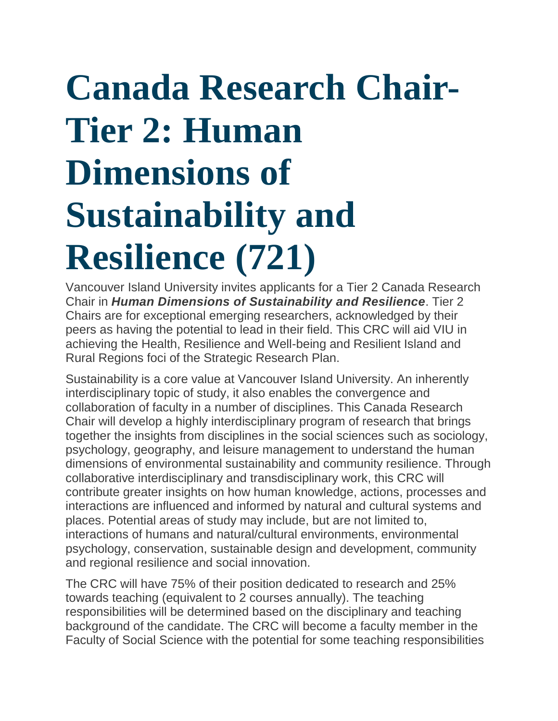# **Canada Research Chair-Tier 2: Human Dimensions of Sustainability and Resilience (721)**

Vancouver Island University invites applicants for a Tier 2 Canada Research Chair in *Human Dimensions of Sustainability and Resilience*. Tier 2 Chairs are for exceptional emerging researchers, acknowledged by their peers as having the potential to lead in their field. This CRC will aid VIU in achieving the Health, Resilience and Well-being and Resilient Island and Rural Regions foci of the Strategic Research Plan.

Sustainability is a core value at Vancouver Island University. An inherently interdisciplinary topic of study, it also enables the convergence and collaboration of faculty in a number of disciplines. This Canada Research Chair will develop a highly interdisciplinary program of research that brings together the insights from disciplines in the social sciences such as sociology, psychology, geography, and leisure management to understand the human dimensions of environmental sustainability and community resilience. Through collaborative interdisciplinary and transdisciplinary work, this CRC will contribute greater insights on how human knowledge, actions, processes and interactions are influenced and informed by natural and cultural systems and places. Potential areas of study may include, but are not limited to, interactions of humans and natural/cultural environments, environmental psychology, conservation, sustainable design and development, community and regional resilience and social innovation.

The CRC will have 75% of their position dedicated to research and 25% towards teaching (equivalent to 2 courses annually). The teaching responsibilities will be determined based on the disciplinary and teaching background of the candidate. The CRC will become a faculty member in the Faculty of Social Science with the potential for some teaching responsibilities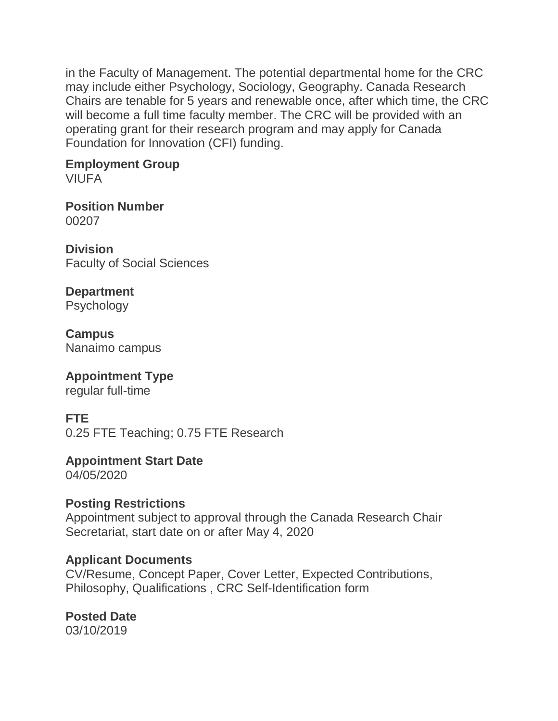in the Faculty of Management. The potential departmental home for the CRC may include either Psychology, Sociology, Geography. Canada Research Chairs are tenable for 5 years and renewable once, after which time, the CRC will become a full time faculty member. The CRC will be provided with an operating grant for their research program and may apply for Canada Foundation for Innovation (CFI) funding.

#### **Employment Group** VIUFA

**Position Number** 00207

**Division** Faculty of Social Sciences

**Department Psychology** 

**Campus** Nanaimo campus

#### **Appointment Type** regular full-time

# **FTE**

0.25 FTE Teaching; 0.75 FTE Research

**Appointment Start Date** 04/05/2020

**Posting Restrictions** Appointment subject to approval through the Canada Research Chair Secretariat, start date on or after May 4, 2020

## **Applicant Documents**

CV/Resume, Concept Paper, Cover Letter, Expected Contributions, Philosophy, Qualifications , CRC Self-Identification form

**Posted Date** 03/10/2019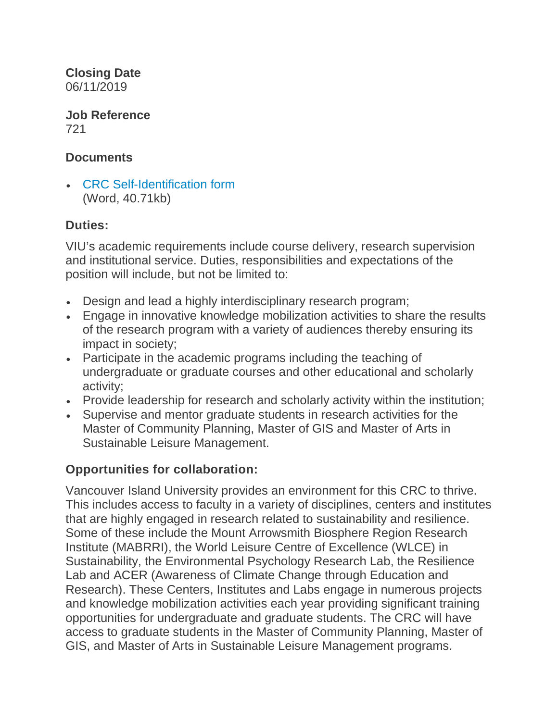**Closing Date** 06/11/2019

**Job Reference** 721

#### **Documents**

• [CRC Self-Identification form](https://careers.viu.ca/intranet/wd_portal.view_blob?p_web_site_id=100017&p_web_page_id=345917&p_type=JOBDOC&p_id=167483&p_show=N) (Word, 40.71kb)

#### **Duties:**

VIU's academic requirements include course delivery, research supervision and institutional service. Duties, responsibilities and expectations of the position will include, but not be limited to:

- Design and lead a highly interdisciplinary research program;
- Engage in innovative knowledge mobilization activities to share the results of the research program with a variety of audiences thereby ensuring its impact in society;
- Participate in the academic programs including the teaching of undergraduate or graduate courses and other educational and scholarly activity;
- Provide leadership for research and scholarly activity within the institution;
- Supervise and mentor graduate students in research activities for the Master of Community Planning, Master of GIS and Master of Arts in Sustainable Leisure Management.

## **Opportunities for collaboration:**

Vancouver Island University provides an environment for this CRC to thrive. This includes access to faculty in a variety of disciplines, centers and institutes that are highly engaged in research related to sustainability and resilience. Some of these include the Mount Arrowsmith Biosphere Region Research Institute (MABRRI), the World Leisure Centre of Excellence (WLCE) in Sustainability, the Environmental Psychology Research Lab, the Resilience Lab and ACER (Awareness of Climate Change through Education and Research). These Centers, Institutes and Labs engage in numerous projects and knowledge mobilization activities each year providing significant training opportunities for undergraduate and graduate students. The CRC will have access to graduate students in the Master of Community Planning, Master of GIS, and Master of Arts in Sustainable Leisure Management programs.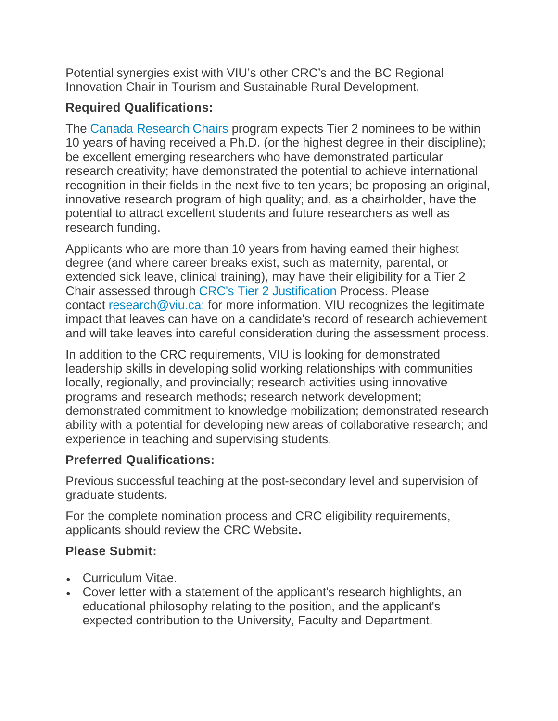Potential synergies exist with VIU's other CRC's and the BC Regional Innovation Chair in Tourism and Sustainable Rural Development.

## **Required Qualifications:**

The [Canada Research Chairs](http://www.chairs-chaires.gc.ca/program-programme/nomination-mise_en_candidature-eng.aspx) program expects Tier 2 nominees to be within 10 years of having received a Ph.D. (or the highest degree in their discipline); be excellent emerging researchers who have demonstrated particular research creativity; have demonstrated the potential to achieve international recognition in their fields in the next five to ten years; be proposing an original, innovative research program of high quality; and, as a chairholder, have the potential to attract excellent students and future researchers as well as research funding.

Applicants who are more than 10 years from having earned their highest degree (and where career breaks exist, such as maternity, parental, or extended sick leave, clinical training), may have their eligibility for a Tier 2 Chair assessed through [CRC's Tier 2 Justification](http://www.chairs-chaires.gc.ca/program-programme/nomination-mise_en_candidature-eng.aspx#s3) Process. Please contact [research@viu.ca;](mailto:research@viu.ca;) for more information. VIU recognizes the legitimate impact that leaves can have on a candidate's record of research achievement and will take leaves into careful consideration during the assessment process.

In addition to the CRC requirements, VIU is looking for demonstrated leadership skills in developing solid working relationships with communities locally, regionally, and provincially; research activities using innovative programs and research methods; research network development; demonstrated commitment to knowledge mobilization; demonstrated research ability with a potential for developing new areas of collaborative research; and experience in teaching and supervising students.

# **Preferred Qualifications:**

Previous successful teaching at the post-secondary level and supervision of graduate students.

For the complete nomination process and CRC eligibility requirements, applicants should review the CRC Website**.**

## **Please Submit:**

- Curriculum Vitae.
- Cover letter with a statement of the applicant's research highlights, an educational philosophy relating to the position, and the applicant's expected contribution to the University, Faculty and Department.